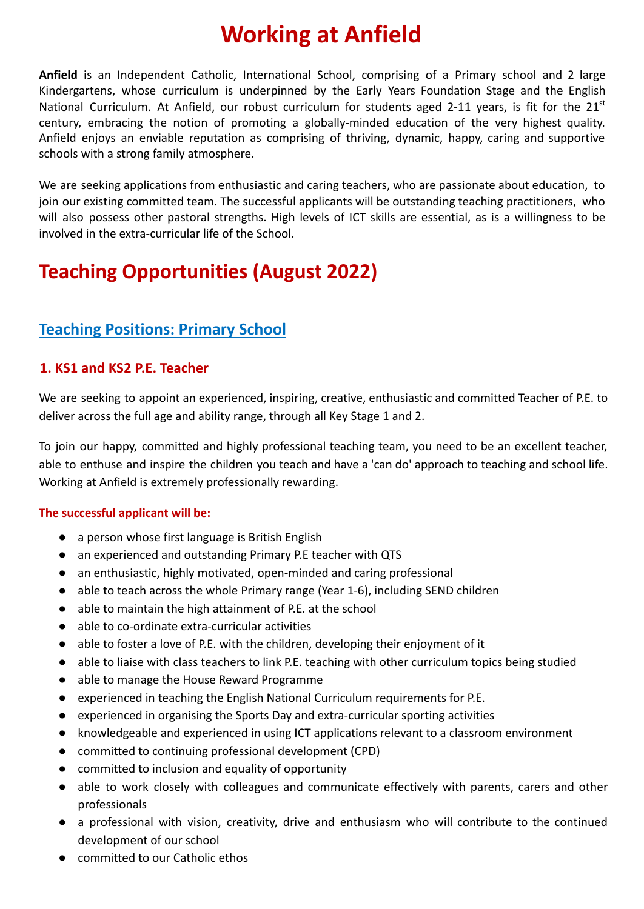# **Working at Anfield**

**Anfield** is an Independent Catholic, International School, comprising of a Primary school and 2 large Kindergartens, whose curriculum is underpinned by the Early Years Foundation Stage and the English National Curriculum. At Anfield, our robust curriculum for students aged 2-11 years, is fit for the  $21<sup>st</sup>$ century, embracing the notion of promoting a globally-minded education of the very highest quality. Anfield enjoys an enviable reputation as comprising of thriving, dynamic, happy, caring and supportive schools with a strong family atmosphere.

We are seeking applications from enthusiastic and caring teachers, who are passionate about education, to join our existing committed team. The successful applicants will be outstanding teaching practitioners, who will also possess other pastoral strengths. High levels of ICT skills are essential, as is a willingness to be involved in the extra-curricular life of the School.

# **Teaching Opportunities (August 2022)**

# **Teaching Positions: Primary School**

# **1. KS1 and KS2 P.E. Teacher**

We are seeking to appoint an experienced, inspiring, creative, enthusiastic and committed Teacher of P.E. to deliver across the full age and ability range, through all Key Stage 1 and 2.

To join our happy, committed and highly professional teaching team, you need to be an excellent teacher, able to enthuse and inspire the children you teach and have a 'can do' approach to teaching and school life. Working at Anfield is extremely professionally rewarding.

#### **The successful applicant will be:**

- a person whose first language is British English
- an experienced and outstanding Primary P.E teacher with QTS
- an enthusiastic, highly motivated, open-minded and caring professional
- able to teach across the whole Primary range (Year 1-6), including SEND children
- able to maintain the high attainment of P.E. at the school
- able to co-ordinate extra-curricular activities
- able to foster a love of P.E. with the children, developing their enjoyment of it
- able to liaise with class teachers to link P.E. teaching with other curriculum topics being studied
- able to manage the House Reward Programme
- experienced in teaching the English National Curriculum requirements for P.E.
- experienced in organising the Sports Day and extra-curricular sporting activities
- knowledgeable and experienced in using ICT applications relevant to a classroom environment
- committed to continuing professional development (CPD)
- committed to inclusion and equality of opportunity
- able to work closely with colleagues and communicate effectively with parents, carers and other professionals
- a professional with vision, creativity, drive and enthusiasm who will contribute to the continued development of our school
- committed to our Catholic ethos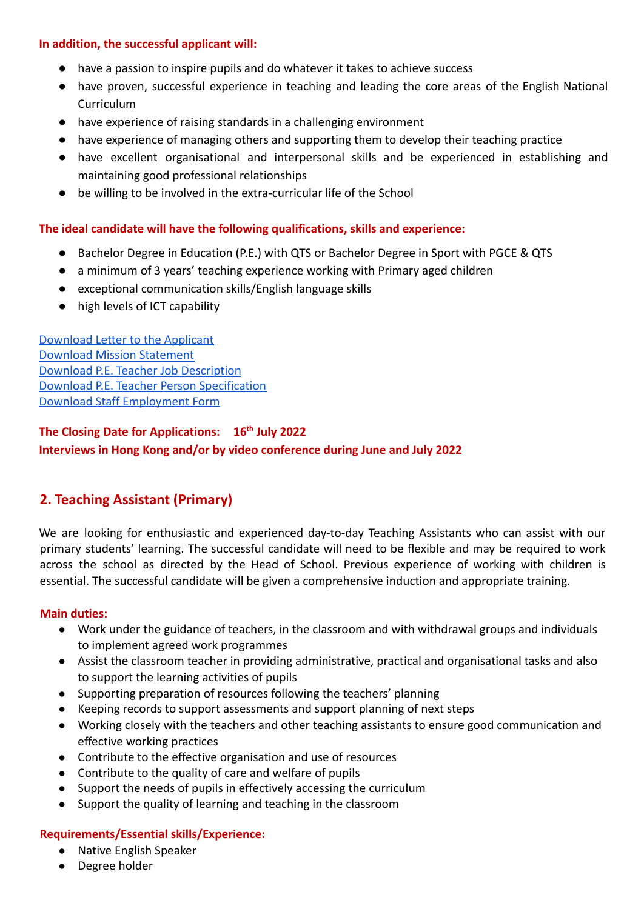#### **In addition, the successful applicant will:**

- have a passion to inspire pupils and do whatever it takes to achieve success
- have proven, successful experience in teaching and leading the core areas of the English National Curriculum
- have experience of raising standards in a challenging environment
- have experience of managing others and supporting them to develop their teaching practice
- have excellent organisational and interpersonal skills and be experienced in establishing and maintaining good professional relationships
- be willing to be involved in the extra-curricular life of the School

#### **The ideal candidate will have the following qualifications, skills and experience:**

- Bachelor Degree in Education (P.E.) with QTS or Bachelor Degree in Sport with PGCE & QTS
- a minimum of 3 years' teaching experience working with Primary aged children
- exceptional communication skills/English language skills
- high levels of ICT capability

[Download Letter to the Applicant](https://drive.google.com/file/d/1ZKpoaqJZI2e5teLOJ_B5IcA03YvA42Sz/view?usp=sharing) [Download Mission Statement](https://drive.google.com/file/d/1wy3KWjETKUAsVcd4pyycN6C9c6FT5R8w/view?usp=sharing) [Download P.E. Teacher Job Description](https://drive.google.com/file/d/1tSmrTYDa7xHtFxQ0FdYYVX63HxJ0i4Z2/view?usp=sharing) [Download P.E. Teacher Person Specification](https://drive.google.com/file/d/1JTH4RceNRlSLUfiZzVyUs3Tda40YLmDZ/view?usp=sharing) [Download Staff Employment Form](https://docs.google.com/document/d/1HhxbBMby-bKH-YmerUzwybuLhZ9u5J4D/edit?usp=sharing&ouid=104933923846878554051&rtpof=true&sd=true)

**The Closing Date for Applications: 16th July 2022 Interviews in Hong Kong and/or by video conference during June and July 2022**

# **2. Teaching Assistant (Primary)**

We are looking for enthusiastic and experienced day-to-day Teaching Assistants who can assist with our primary students' learning. The successful candidate will need to be flexible and may be required to work across the school as directed by the Head of School. Previous experience of working with children is essential. The successful candidate will be given a comprehensive induction and appropriate training.

#### **Main duties:**

- Work under the guidance of teachers, in the classroom and with withdrawal groups and individuals to implement agreed work programmes
- Assist the classroom teacher in providing administrative, practical and organisational tasks and also to support the learning activities of pupils
- Supporting preparation of resources following the teachers' planning
- Keeping records to support assessments and support planning of next steps
- Working closely with the teachers and other teaching assistants to ensure good communication and effective working practices
- Contribute to the effective organisation and use of resources
- Contribute to the quality of care and welfare of pupils
- Support the needs of pupils in effectively accessing the curriculum
- Support the quality of learning and teaching in the classroom

#### **Requirements/Essential skills/Experience:**

- Native English Speaker
- Degree holder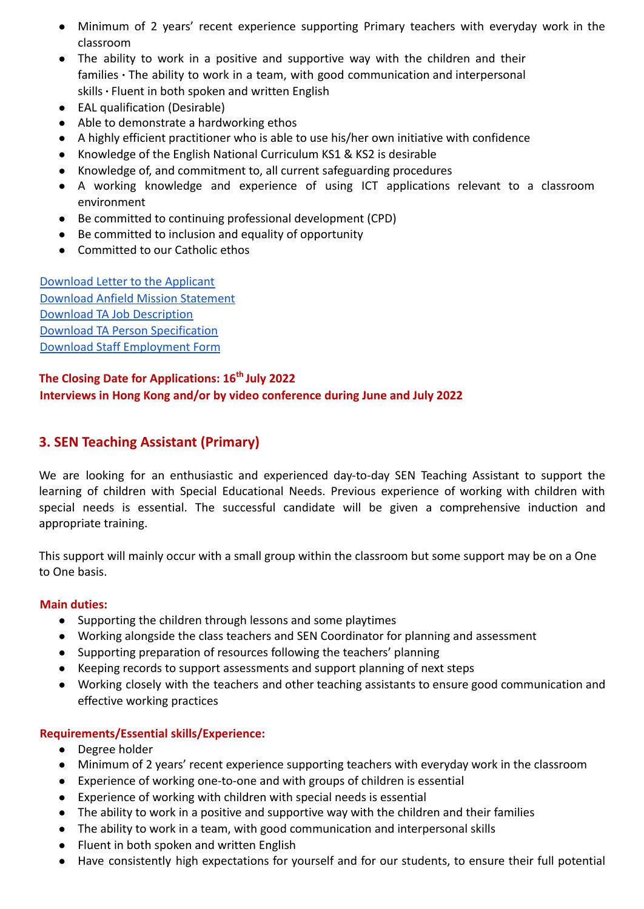- Minimum of 2 years' recent experience supporting Primary teachers with everyday work in the classroom
- The ability to work in a positive and supportive way with the children and their families ∙ The ability to work in a team, with good communication and interpersonal skills ∙ Fluent in both spoken and written English
- EAL qualification (Desirable)
- Able to demonstrate a hardworking ethos
- A highly efficient practitioner who is able to use his/her own initiative with confidence
- Knowledge of the English National Curriculum KS1 & KS2 is desirable
- Knowledge of, and commitment to, all current safeguarding procedures
- A working knowledge and experience of using ICT applications relevant to a classroom environment
- Be committed to continuing professional development (CPD)
- Be committed to inclusion and equality of opportunity
- Committed to our Catholic ethos

[Download Letter to the Applicant](https://drive.google.com/file/d/1tNBTAb_0ybYPPSPub3WcxQULZWshT_cX/view?usp=sharing) [Download Anfield Mission Statement](https://drive.google.com/file/d/1Zmymh95UEIQrmXgrZI0OqM8MLhDiTe-5/view?usp=sharing) [Download TA Job Description](https://drive.google.com/file/d/1H9FLv-GDsAa5ZqUxAtC61uuh54mKVHOe/view?usp=sharing) [Download TA Person Specification](https://drive.google.com/file/d/1Jpr3Jtj97Hhf9_LOVTatEFfUbXyRPH1B/view?usp=sharing) [Download Staff Employment Form](https://docs.google.com/document/d/18wQXdbCHWuGZep0e0Tx7tyGO53tpg_pr/edit?usp=sharing&ouid=106389083010313458769&rtpof=true&sd=true)

## **The Closing Date for Applications: 16th July 2022 Interviews in Hong Kong and/or by video conference during June and July 2022**

# **3. SEN Teaching Assistant (Primary)**

We are looking for an enthusiastic and experienced day-to-day SEN Teaching Assistant to support the learning of children with Special Educational Needs. Previous experience of working with children with special needs is essential. The successful candidate will be given a comprehensive induction and appropriate training.

This support will mainly occur with a small group within the classroom but some support may be on a One to One basis.

#### **Main duties:**

- Supporting the children through lessons and some playtimes
- Working alongside the class teachers and SEN Coordinator for planning and assessment
- Supporting preparation of resources following the teachers' planning
- Keeping records to support assessments and support planning of next steps
- Working closely with the teachers and other teaching assistants to ensure good communication and effective working practices

#### **Requirements/Essential skills/Experience:**

- Degree holder
- Minimum of 2 years' recent experience supporting teachers with everyday work in the classroom
- Experience of working one-to-one and with groups of children is essential
- Experience of working with children with special needs is essential
- The ability to work in a positive and supportive way with the children and their families
- The ability to work in a team, with good communication and interpersonal skills
- Fluent in both spoken and written English
- Have consistently high expectations for yourself and for our students, to ensure their full potential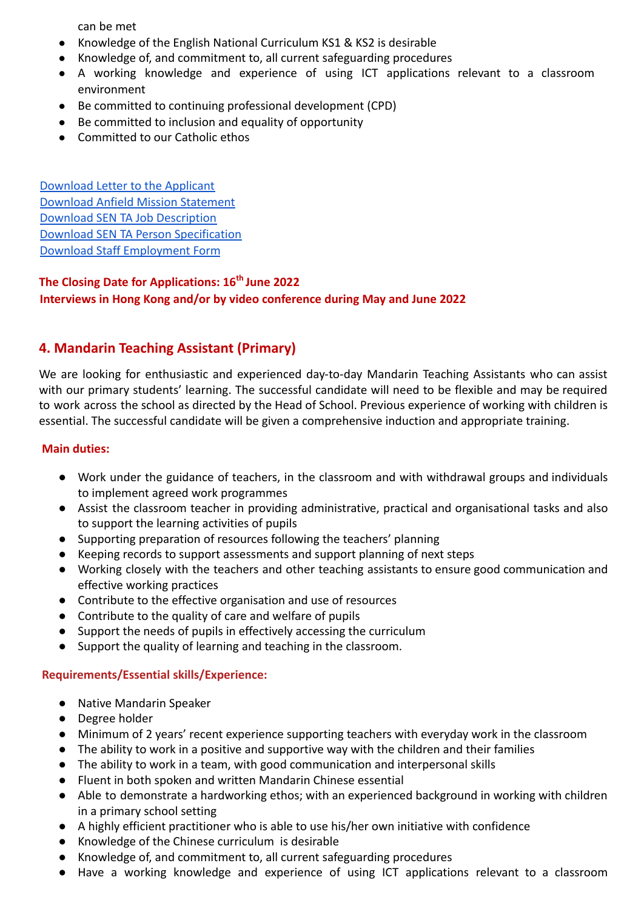can be met

- Knowledge of the English National Curriculum KS1 & KS2 is desirable
- Knowledge of, and commitment to, all current safeguarding procedures
- A working knowledge and experience of using ICT applications relevant to a classroom environment
- Be committed to continuing professional development (CPD)
- Be committed to inclusion and equality of opportunity
- Committed to our Catholic ethos

[Download Letter to the Applicant](https://drive.google.com/file/d/1YhCWDa0-wZahbk3cBh2prNrcqAhskUBS/view?usp=sharing) [Download Anfield Mission Statement](https://drive.google.com/file/d/1xbVL56NKmVWVN7dDHeJ4vGkzSO7FZZ6f/view?usp=sharing) [Download SEN TA Job Description](https://drive.google.com/file/d/18NT8NcCxb5RwI3JC0NS8I8u3XwfoM_Vg/view?usp=sharing) [Download SEN TA Person Specification](https://drive.google.com/file/d/1KqQPg51zqmTEVl-scg2QLcKt_bdVFf70/view?usp=sharing) [Download Staff Employment Form](https://docs.google.com/document/d/1_a7CX3WBwvbfgpjb_l-7snBWa1lOMVc4/edit?usp=sharing&ouid=106389083010313458769&rtpof=true&sd=true)

## **The Closing Date for Applications: 16th June 2022 Interviews in Hong Kong and/or by video conference during May and June 2022**

# **4. Mandarin Teaching Assistant (Primary)**

We are looking for enthusiastic and experienced day-to-day Mandarin Teaching Assistants who can assist with our primary students' learning. The successful candidate will need to be flexible and may be required to work across the school as directed by the Head of School. Previous experience of working with children is essential. The successful candidate will be given a comprehensive induction and appropriate training.

#### **Main duties:**

- Work under the guidance of teachers, in the classroom and with withdrawal groups and individuals to implement agreed work programmes
- Assist the classroom teacher in providing administrative, practical and organisational tasks and also to support the learning activities of pupils
- Supporting preparation of resources following the teachers' planning
- Keeping records to support assessments and support planning of next steps
- Working closely with the teachers and other teaching assistants to ensure good communication and effective working practices
- Contribute to the effective organisation and use of resources
- Contribute to the quality of care and welfare of pupils
- Support the needs of pupils in effectively accessing the curriculum
- Support the quality of learning and teaching in the classroom.

#### **Requirements/Essential skills/Experience:**

- Native Mandarin Speaker
- Degree holder
- Minimum of 2 years' recent experience supporting teachers with everyday work in the classroom
- The ability to work in a positive and supportive way with the children and their families
- The ability to work in a team, with good communication and interpersonal skills
- Fluent in both spoken and written Mandarin Chinese essential
- Able to demonstrate a hardworking ethos; with an experienced background in working with children in a primary school setting
- A highly efficient practitioner who is able to use his/her own initiative with confidence
- Knowledge of the Chinese curriculum is desirable
- Knowledge of, and commitment to, all current safeguarding procedures
- Have a working knowledge and experience of using ICT applications relevant to a classroom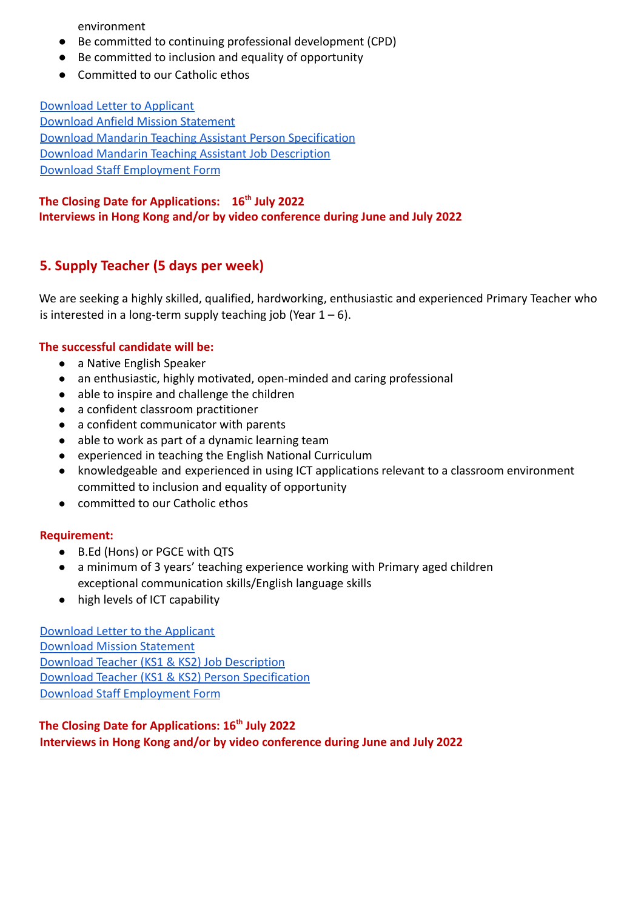environment

- Be committed to continuing professional development (CPD)
- Be committed to inclusion and equality of opportunity
- Committed to our Catholic ethos

[Download Letter to Applicant](https://drive.google.com/file/d/1tPZYp2dGTWxVbxm70szUvLbTFqv1tesC/view?usp=sharing) [Download Anfield Mission Statement](https://drive.google.com/file/d/1bLIQ1zd_GLT0w4AS4O6QvswuG1zV-5-F/view?usp=sharing) [Download Mandarin Teaching Assistant Person Specification](https://drive.google.com/file/d/1rAXPQVizr7o0hEhGr4XHhL_n8rLpvU4-/view?usp=sharing) [Download Mandarin Teaching Assistant Job Description](https://drive.google.com/file/d/15JblsvNcYBPKqf8Sev3Tk8Db4_Z5-8aB/view?usp=sharing) [Download Staff Employment Form](https://docs.google.com/document/d/1FiOJ4PqicAc7Z8_NbemdgJ_WxZb-vhZQ/edit?usp=sharing&ouid=104933923846878554051&rtpof=true&sd=true)

#### **The Closing Date for Applications: 16th July 2022 Interviews in Hong Kong and/or by video conference during June and July 2022**

# **5. Supply Teacher (5 days per week)**

We are seeking a highly skilled, qualified, hardworking, enthusiastic and experienced Primary Teacher who is interested in a long-term supply teaching job (Year  $1 - 6$ ).

#### **The successful candidate will be:**

- a Native English Speaker
- an enthusiastic, highly motivated, open-minded and caring professional
- able to inspire and challenge the children
- a confident classroom practitioner
- a confident communicator with parents
- able to work as part of a dynamic learning team
- experienced in teaching the English National Curriculum
- knowledgeable and experienced in using ICT applications relevant to a classroom environment committed to inclusion and equality of opportunity
- committed to our Catholic ethos

#### **Requirement:**

- B.Ed (Hons) or PGCE with QTS
- a minimum of 3 years' teaching experience working with Primary aged children exceptional communication skills/English language skills
- high levels of ICT capability

[Download Letter to the Applicant](https://drive.google.com/file/d/10M-P8A-IHt3EdQdeAd29k34_ASwN56kH/view?usp=sharing) [Download Mission Statement](https://drive.google.com/file/d/1cYb8yevw2y83dQYrT1mvTX0LnSFyK6cf/view?usp=sharing) [Download Teacher \(KS1 & KS2\) Job Description](https://drive.google.com/file/d/1itV0Rmm30uDr9NfoL3qXoqfDE_9PZZjA/view?usp=sharing) [Download Teacher \(KS1 & KS2\) Person Specification](https://drive.google.com/file/d/11x8mUyUZA2uyAtyfrKrOTaIb_7BqT8kX/view?usp=sharing) [Download Staff Employment Form](https://docs.google.com/document/d/1AjKsaO7G61rN0t_ODk0TCo7F02qgMzTC/edit?usp=sharing&ouid=106389083010313458769&rtpof=true&sd=true)

## **The Closing Date for Applications: 16th July 2022 Interviews in Hong Kong and/or by video conference during June and July 2022**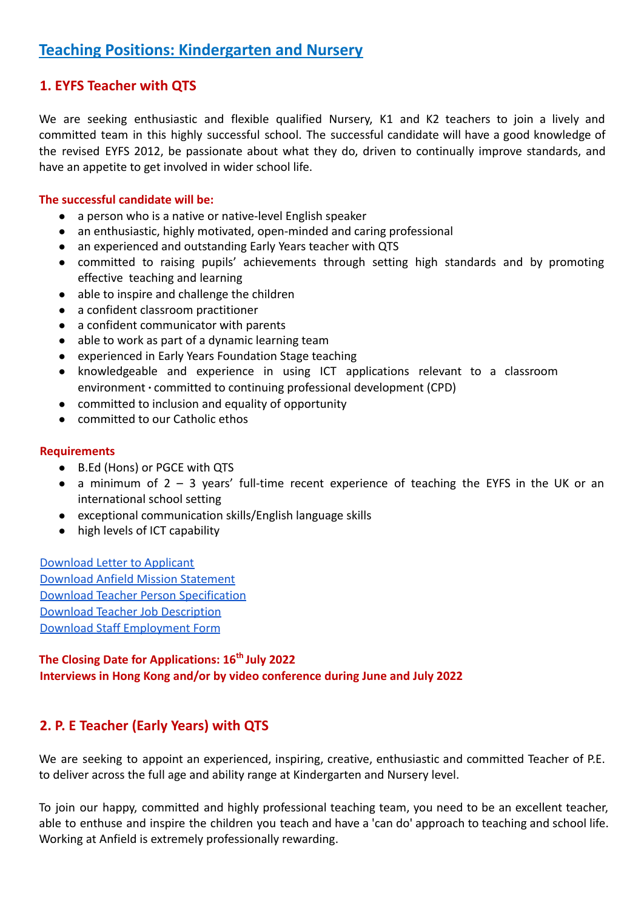# **Teaching Positions: Kindergarten and Nursery**

# **1. EYFS Teacher with QTS**

We are seeking enthusiastic and flexible qualified Nursery, K1 and K2 teachers to join a lively and committed team in this highly successful school. The successful candidate will have a good knowledge of the revised EYFS 2012, be passionate about what they do, driven to continually improve standards, and have an appetite to get involved in wider school life.

#### **The successful candidate will be:**

- a person who is a native or native-level English speaker
- an enthusiastic, highly motivated, open-minded and caring professional
- an experienced and outstanding Early Years teacher with QTS
- committed to raising pupils' achievements through setting high standards and by promoting effective teaching and learning
- able to inspire and challenge the children
- a confident classroom practitioner
- a confident communicator with parents
- able to work as part of a dynamic learning team
- experienced in Early Years Foundation Stage teaching
- knowledgeable and experience in using ICT applications relevant to a classroom environment ∙ committed to continuing professional development (CPD)
- committed to inclusion and equality of opportunity
- committed to our Catholic ethos

#### **Requirements**

- B.Ed (Hons) or PGCE with QTS
- $\bullet$  a minimum of 2 3 years' full-time recent experience of teaching the EYFS in the UK or an international school setting
- exceptional communication skills/English language skills
- high levels of ICT capability

[Download Letter to Applicant](https://drive.google.com/file/d/1Yr9UQdo2--DZILKz7NGnPJycbMWLnMuS/view?usp=sharing) [Download Anfield Mission Statement](https://drive.google.com/file/d/12LrVqnm3WOgHlf7V2UjD2OW9pYcPYqzY/view?usp=sharing) [Download Teacher Person Specification](https://drive.google.com/file/d/1m7Q6yybgM0st-y-sBZe6qaQhpYr5gURV/view?usp=sharing) [Download Teacher Job Description](https://drive.google.com/file/d/1xGK0vJiBu6fgxceKEMpzkQFGXJkVP_dd/view?usp=sharing) [Download Staff Employment Form](https://docs.google.com/document/d/1nyetuLDFLJrnaPGzpAD4XGfrvQcvSE9D/edit?usp=sharing&ouid=106389083010313458769&rtpof=true&sd=true)

## **The Closing Date for Applications: 16th July 2022 Interviews in Hong Kong and/or by video conference during June and July 2022**

# **2. P. E Teacher (Early Years) with QTS**

We are seeking to appoint an experienced, inspiring, creative, enthusiastic and committed Teacher of P.E. to deliver across the full age and ability range at Kindergarten and Nursery level.

To join our happy, committed and highly professional teaching team, you need to be an excellent teacher, able to enthuse and inspire the children you teach and have a 'can do' approach to teaching and school life. Working at Anfield is extremely professionally rewarding.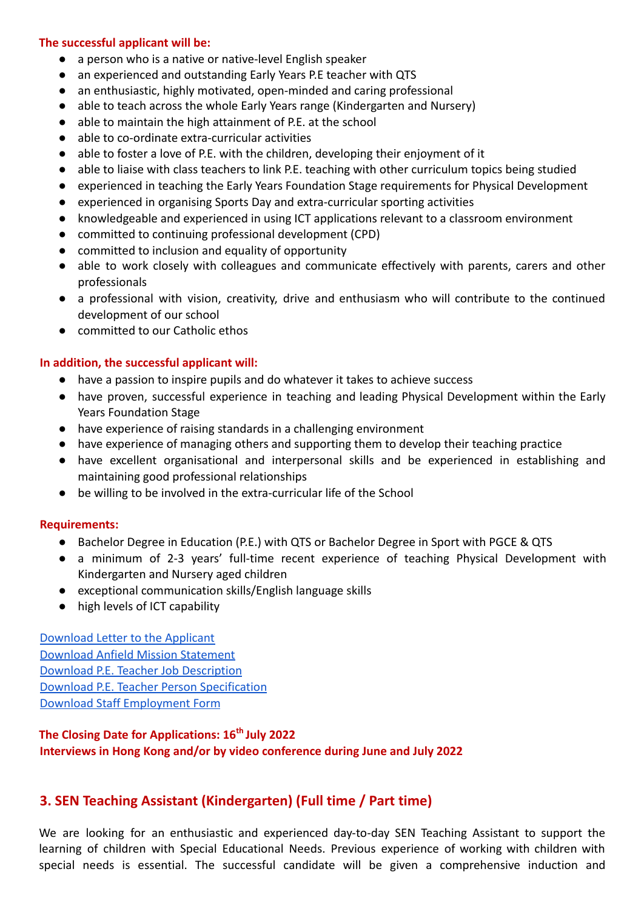#### **The successful applicant will be:**

- a person who is a native or native-level English speaker
- an experienced and outstanding Early Years P.E teacher with QTS
- an enthusiastic, highly motivated, open-minded and caring professional
- able to teach across the whole Early Years range (Kindergarten and Nursery)
- able to maintain the high attainment of P.E. at the school
- able to co-ordinate extra-curricular activities
- able to foster a love of P.E. with the children, developing their enjoyment of it
- able to liaise with class teachers to link P.E. teaching with other curriculum topics being studied
- experienced in teaching the Early Years Foundation Stage requirements for Physical Development
- experienced in organising Sports Day and extra-curricular sporting activities
- knowledgeable and experienced in using ICT applications relevant to a classroom environment
- committed to continuing professional development (CPD)
- committed to inclusion and equality of opportunity
- able to work closely with colleagues and communicate effectively with parents, carers and other professionals
- a professional with vision, creativity, drive and enthusiasm who will contribute to the continued development of our school
- committed to our Catholic ethos

#### **In addition, the successful applicant will:**

- have a passion to inspire pupils and do whatever it takes to achieve success
- have proven, successful experience in teaching and leading Physical Development within the Early Years Foundation Stage
- have experience of raising standards in a challenging environment
- have experience of managing others and supporting them to develop their teaching practice
- have excellent organisational and interpersonal skills and be experienced in establishing and maintaining good professional relationships
- be willing to be involved in the extra-curricular life of the School

#### **Requirements:**

- Bachelor Degree in Education (P.E.) with QTS or Bachelor Degree in Sport with PGCE & QTS
- a minimum of 2-3 years' full-time recent experience of teaching Physical Development with Kindergarten and Nursery aged children
- exceptional communication skills/English language skills
- high levels of ICT capability

[Download Letter to the Applicant](https://drive.google.com/file/d/1elu32WoUc82AgToVd5LtMzxLtIAGJAte/view?usp=sharing) [Download Anfield Mission Statement](https://drive.google.com/file/d/1lmsS9M-FGnaFBF-b4k70uMYd-6NZZuMV/view?usp=sharing) [Download P.E. Teacher Job Description](https://drive.google.com/file/d/1aqC0Kq8opuIyQyvr2BWz5S7tsVK8btYC/view?usp=sharing) [Download P.E. Teacher Person Specification](https://drive.google.com/file/d/1SoLq0s70tbdedDtiBmHEiE0H45HN71mz/view?usp=sharing) [Download Staff Employment Form](https://docs.google.com/document/d/1JPA3o-AXWphIXV4z82JKt_rAgiFpWPBw/edit?usp=sharing&ouid=106389083010313458769&rtpof=true&sd=true)

## **The Closing Date for Applications: 16th July 2022 Interviews in Hong Kong and/or by video conference during June and July 2022**

# **3. SEN Teaching Assistant (Kindergarten) (Full time / Part time)**

We are looking for an enthusiastic and experienced day-to-day SEN Teaching Assistant to support the learning of children with Special Educational Needs. Previous experience of working with children with special needs is essential. The successful candidate will be given a comprehensive induction and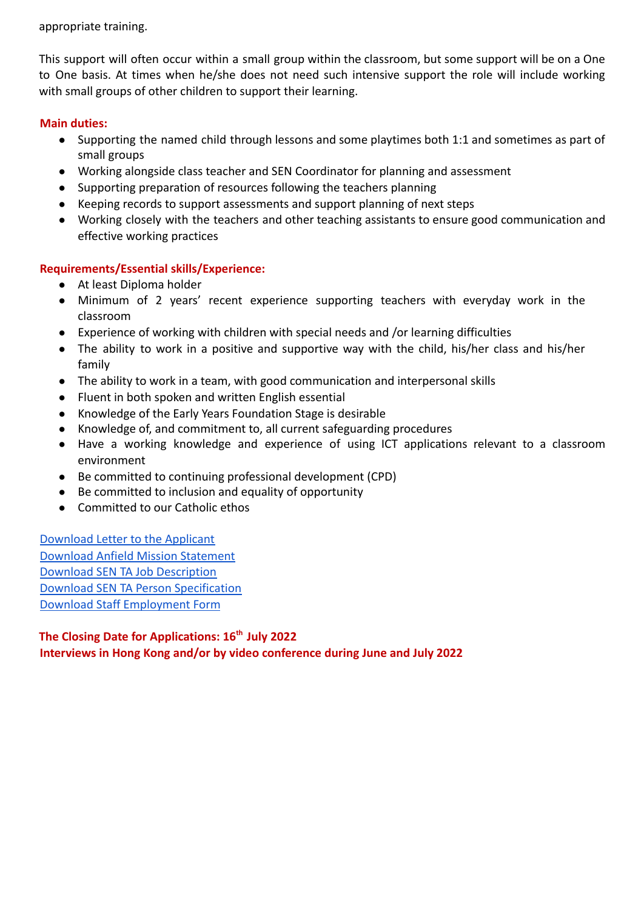appropriate training.

This support will often occur within a small group within the classroom, but some support will be on a One to One basis. At times when he/she does not need such intensive support the role will include working with small groups of other children to support their learning.

#### **Main duties:**

- Supporting the named child through lessons and some playtimes both 1:1 and sometimes as part of small groups
- Working alongside class teacher and SEN Coordinator for planning and assessment
- Supporting preparation of resources following the teachers planning
- Keeping records to support assessments and support planning of next steps
- Working closely with the teachers and other teaching assistants to ensure good communication and effective working practices

#### **Requirements/Essential skills/Experience:**

- At least Diploma holder
- Minimum of 2 years' recent experience supporting teachers with everyday work in the classroom
- Experience of working with children with special needs and /or learning difficulties
- The ability to work in a positive and supportive way with the child, his/her class and his/her family
- The ability to work in a team, with good communication and interpersonal skills
- Fluent in both spoken and written English essential
- Knowledge of the Early Years Foundation Stage is desirable
- Knowledge of, and commitment to, all current safeguarding procedures
- Have a working knowledge and experience of using ICT applications relevant to a classroom environment
- Be committed to continuing professional development (CPD)
- Be committed to inclusion and equality of opportunity
- Committed to our Catholic ethos

[Download Letter to the Applicant](https://drive.google.com/file/d/1TyeK0c-8kSkKpFnolQaDOT3LX59czteT/view?usp=sharing) [Download Anfield Mission Statement](https://drive.google.com/file/d/15kJY5mi_n_dwOwyhNFtoAhvDQWPegmnp/view?usp=sharing) [Download SEN TA Job Description](https://drive.google.com/file/d/1dUoswSIt3OlfKTUR-nEYDvbfdW6_pRJ8/view?usp=sharing) [Download SEN TA Person Specification](https://drive.google.com/file/d/1zG8bIp3ZmhBFvD-dAVi-JtrBMHAxhakj/view?usp=sharing) [Download Staff Employment Form](https://docs.google.com/document/d/19a_MgDsmZPdR0f5LFiXlQRBKXmsM1Kaa/edit?usp=sharing&ouid=106389083010313458769&rtpof=true&sd=true)

**The Closing Date for Applications: 16th July 2022 Interviews in Hong Kong and/or by video conference during June and July 2022**